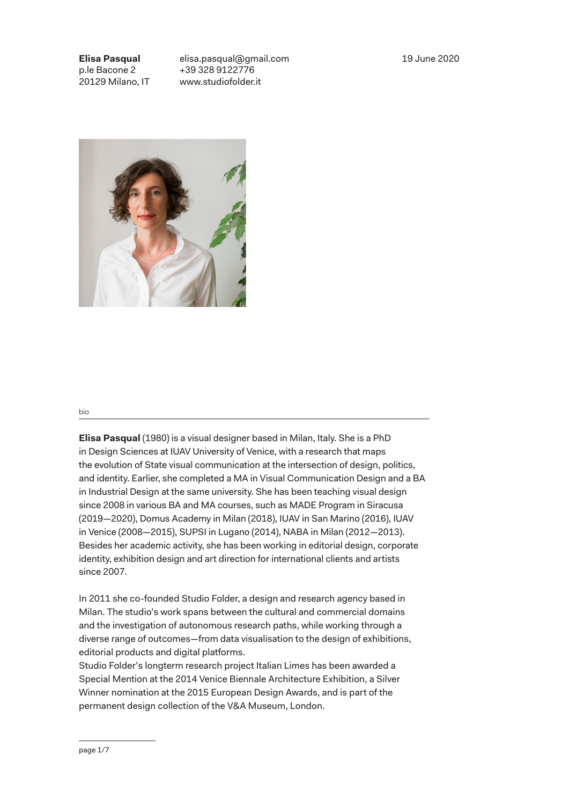19 June 2020

**Elisa Pasqual** p.le Bacone 2 20129 Milano, IT

elisa.pasqual@gmail.com +39 328 9122776 www.studiofolder.it



## bio

**Elisa Pasqual** (1980) is a visual designer based in Milan, Italy. She is a PhD in Design Sciences at IUAV University of Venice, with a research that maps the evolution of State visual communication at the intersection of design, politics, and identity. Earlier, she completed a MA in Visual Communication Design and a BA in Industrial Design at the same university. She has been teaching visual design since 2008 in various BA and MA courses, such as MADE Program in Siracusa (2019—2020), Domus Academy in Milan (2018), IUAV in San Marino (2016), IUAV in Venice (2008—2015), SUPSI in Lugano (2014), NABA in Milan (2012—2013). Besides her academic activity, she has been working in editorial design, corporate identity, exhibition design and art direction for international clients and artists since 2007.

In 2011 she co-founded Studio Folder, a design and research agency based in Milan. The studio's work spans between the cultural and commercial domains and the investigation of autonomous research paths, while working through a diverse range of outcomes—from data visualisation to the design of exhibitions, editorial products and digital platforms.

Studio Folder's longterm research project Italian Limes has been awarded a Special Mention at the 2014 Venice Biennale Architecture Exhibition, a Silver Winner nomination at the 2015 European Design Awards, and is part of the permanent design collection of the V&A Museum, London.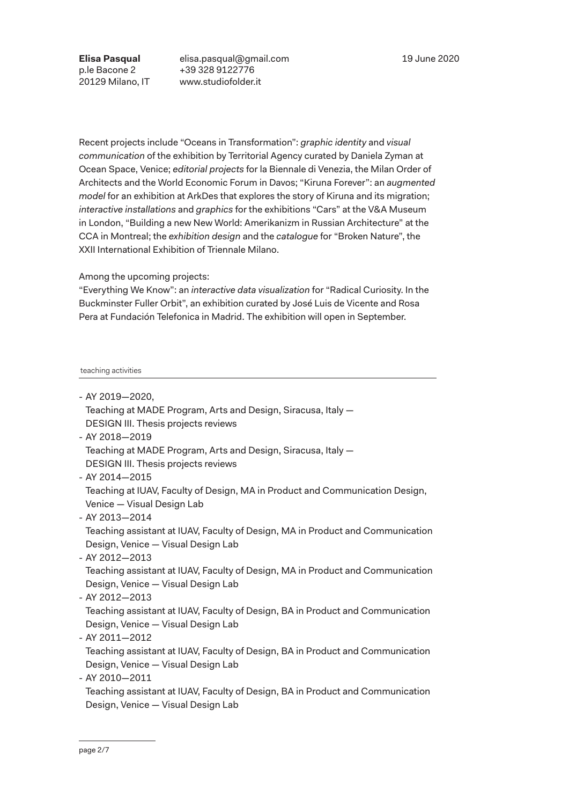**Elisa Pasqual** p.le Bacone 2 20129 Milano, IT elisa.pasqual@gmail.com +39 328 9122776 www.studiofolder.it

Recent projects include "Oceans in Transformation": *graphic identity* and *visual communication* of the exhibition by Territorial Agency curated by Daniela Zyman at Ocean Space, Venice; *editorial projects* for la Biennale di Venezia, the Milan Order of Architects and the World Economic Forum in Davos; "Kiruna Forever": an *augmented model* for an exhibition at ArkDes that explores the story of Kiruna and its migration; *interactive installations* and *graphics* for the exhibitions "Cars" at the V&A Museum in London, "Building a new New World: Amerikanizm in Russian Architecture" at the CCA in Montreal; the *exhibition design* and the *catalogue* for "Broken Nature", the XXII International Exhibition of Triennale Milano.

Among the upcoming projects:

"Everything We Know": an *interactive data visualization* for "Radical Curiosity. In the Buckminster Fuller Orbit", an exhibition curated by José Luis de Vicente and Rosa Pera at Fundación Telefonica in Madrid. The exhibition will open in September.

## teaching activities

|  |  |  |  | - AY 2019-2020, |  |
|--|--|--|--|-----------------|--|
|--|--|--|--|-----------------|--|

- Teaching at MADE Program, Arts and Design, Siracusa, Italy DESIGN III. Thesis projects reviews
- AY 2018—2019 Teaching at MADE Program, Arts and Design, Siracusa, Italy — DESIGN III. Thesis projects reviews
- AY 2014—2015

Teaching at IUAV, Faculty of Design, MA in Product and Communication Design, Venice — Visual Design Lab

- AY 2013—2014

Teaching assistant at IUAV, Faculty of Design, MA in Product and Communication Design, Venice — Visual Design Lab

- AY 2012—2013

Teaching assistant at IUAV, Faculty of Design, MA in Product and Communication Design, Venice — Visual Design Lab

- AY 2012—2013

Teaching assistant at IUAV, Faculty of Design, BA in Product and Communication Design, Venice — Visual Design Lab

- AY 2011—2012

Teaching assistant at IUAV, Faculty of Design, BA in Product and Communication Design, Venice — Visual Design Lab

- AY 2010—2011

Teaching assistant at IUAV, Faculty of Design, BA in Product and Communication Design, Venice — Visual Design Lab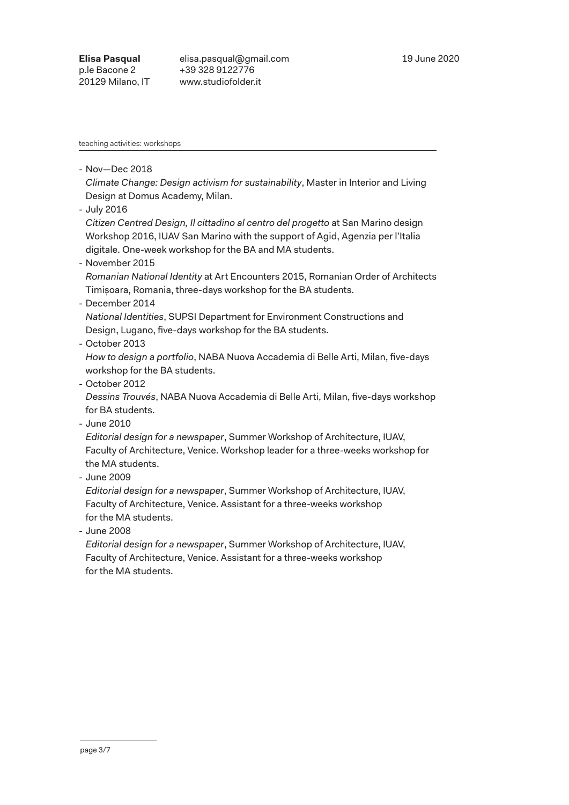teaching activities: workshops

- Nov—Dec 2018

*Climate Change: Design activism for sustainability*, Master in Interior and Living Design at Domus Academy, Milan.

- July 2016

*Citizen Centred Design, Il cittadino al centro del progetto* at San Marino design Workshop 2016, IUAV San Marino with the support of Agid, Agenzia per l'Italia digitale. One-week workshop for the BA and MA students.

- November 2015

*Romanian National Identity* at Art Encounters 2015, Romanian Order of Architects Timișoara, Romania, three-days workshop for the BA students.

- December 2014

*National Identities*, SUPSI Department for Environment Constructions and Design, Lugano, five-days workshop for the BA students.

- October 2013

*How to design a portfolio*, NABA Nuova Accademia di Belle Arti, Milan, five-days workshop for the BA students.

- October 2012

*Dessins Trouvés*, NABA Nuova Accademia di Belle Arti, Milan, five-days workshop for BA students.

- June 2010

*Editorial design for a newspaper*, Summer Workshop of Architecture, IUAV, Faculty of Architecture, Venice. Workshop leader for a three-weeks workshop for the MA students.

- June 2009

*Editorial design for a newspaper*, Summer Workshop of Architecture, IUAV, Faculty of Architecture, Venice. Assistant for a three-weeks workshop for the MA students.

- June 2008

*Editorial design for a newspaper*, Summer Workshop of Architecture, IUAV, Faculty of Architecture, Venice. Assistant for a three-weeks workshop for the MA students.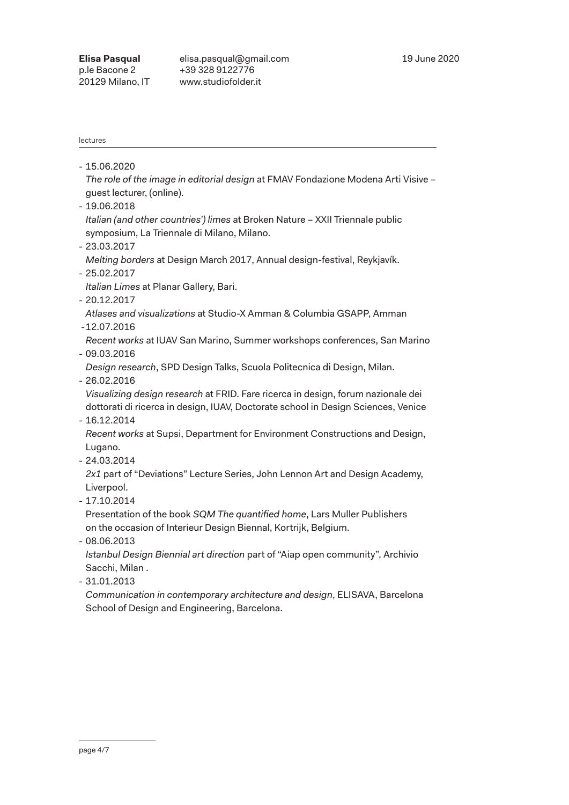lectures

| 15.06.2020 |  |
|------------|--|
|------------|--|

*The role of the image in editorial design* at FMAV Fondazione Modena Arti Visive – guest lecturer, (online).

- 19.06.2018

*Italian (and other countries') limes* at Broken Nature – XXII Triennale public symposium, La Triennale di Milano, Milano.

- 23.03.2017

*Melting borders* at Design March 2017, Annual design-festival, Reykjavík.

- 25.02.2017

*Italian Limes* at Planar Gallery, Bari.

- 20.12.2017

*Atlases and visualizations* at Studio-X Amman & Columbia GSAPP, Amman

-12.07.2016

*Recent works* at IUAV San Marino, Summer workshops conferences, San Marino

- 09.03.2016

*Design research*, SPD Design Talks, Scuola Politecnica di Design, Milan.

- 26.02.2016

*Visualizing design research* at FRID. Fare ricerca in design, forum nazionale dei dottorati di ricerca in design, IUAV, Doctorate school in Design Sciences, Venice

- 16.12.2014

*Recent works* at Supsi, Department for Environment Constructions and Design, Lugano.

- 24.03.2014

*2x1* part of "Deviations" Lecture Series, John Lennon Art and Design Academy, Liverpool.

- 17.10.2014

Presentation of the book *SQM The quantified home*, Lars Muller Publishers on the occasion of Interieur Design Biennal, Kortrijk, Belgium.

- 08.06.2013

*Istanbul Design Biennial art direction* part of "Aiap open community", Archivio Sacchi, Milan .

- 31.01.2013

*Communication in contemporary architecture and design*, ELISAVA, Barcelona School of Design and Engineering, Barcelona.